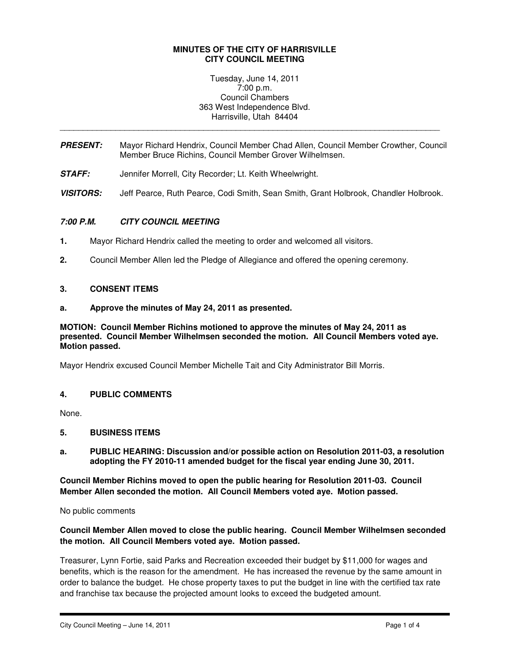# **MINUTES OF THE CITY OF HARRISVILLE CITY COUNCIL MEETING**

Tuesday, June 14, 2011 7:00 p.m. Council Chambers 363 West Independence Blvd. Harrisville, Utah 84404

**PRESENT:** Mayor Richard Hendrix, Council Member Chad Allen, Council Member Crowther, Council Member Bruce Richins, Council Member Grover Wilhelmsen.

\_\_\_\_\_\_\_\_\_\_\_\_\_\_\_\_\_\_\_\_\_\_\_\_\_\_\_\_\_\_\_\_\_\_\_\_\_\_\_\_\_\_\_\_\_\_\_\_\_\_\_\_\_\_\_\_\_\_\_\_\_\_\_\_\_\_\_\_\_\_\_\_\_\_\_\_\_\_\_\_\_\_

- **STAFF:** Jennifer Morrell, City Recorder; Lt. Keith Wheelwright.
- **VISITORS:** Jeff Pearce, Ruth Pearce, Codi Smith, Sean Smith, Grant Holbrook, Chandler Holbrook.

# **7:00 P.M. CITY COUNCIL MEETING**

- **1.** Mayor Richard Hendrix called the meeting to order and welcomed all visitors.
- **2.** Council Member Allen led the Pledge of Allegiance and offered the opening ceremony.

### **3. CONSENT ITEMS**

**a. Approve the minutes of May 24, 2011 as presented.** 

**MOTION: Council Member Richins motioned to approve the minutes of May 24, 2011 as presented. Council Member Wilhelmsen seconded the motion. All Council Members voted aye. Motion passed.** 

Mayor Hendrix excused Council Member Michelle Tait and City Administrator Bill Morris.

### **4. PUBLIC COMMENTS**

None.

### **5. BUSINESS ITEMS**

**a. PUBLIC HEARING: Discussion and/or possible action on Resolution 2011-03, a resolution adopting the FY 2010-11 amended budget for the fiscal year ending June 30, 2011.** 

**Council Member Richins moved to open the public hearing for Resolution 2011-03. Council Member Allen seconded the motion. All Council Members voted aye. Motion passed.** 

No public comments

# **Council Member Allen moved to close the public hearing. Council Member Wilhelmsen seconded the motion. All Council Members voted aye. Motion passed.**

Treasurer, Lynn Fortie, said Parks and Recreation exceeded their budget by \$11,000 for wages and benefits, which is the reason for the amendment. He has increased the revenue by the same amount in order to balance the budget. He chose property taxes to put the budget in line with the certified tax rate and franchise tax because the projected amount looks to exceed the budgeted amount.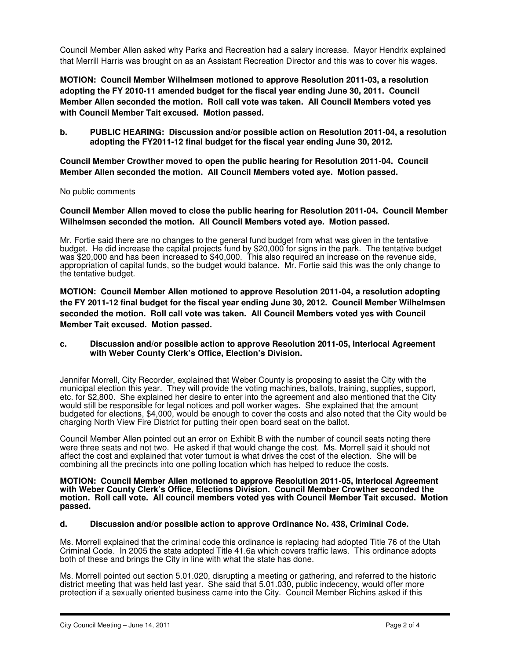Council Member Allen asked why Parks and Recreation had a salary increase. Mayor Hendrix explained that Merrill Harris was brought on as an Assistant Recreation Director and this was to cover his wages.

**MOTION: Council Member Wilhelmsen motioned to approve Resolution 2011-03, a resolution adopting the FY 2010-11 amended budget for the fiscal year ending June 30, 2011. Council Member Allen seconded the motion. Roll call vote was taken. All Council Members voted yes with Council Member Tait excused. Motion passed.** 

**b. PUBLIC HEARING: Discussion and/or possible action on Resolution 2011-04, a resolution adopting the FY2011-12 final budget for the fiscal year ending June 30, 2012.**

**Council Member Crowther moved to open the public hearing for Resolution 2011-04. Council Member Allen seconded the motion. All Council Members voted aye. Motion passed.** 

### No public comments

**Council Member Allen moved to close the public hearing for Resolution 2011-04. Council Member Wilhelmsen seconded the motion. All Council Members voted aye. Motion passed.** 

Mr. Fortie said there are no changes to the general fund budget from what was given in the tentative budget. He did increase the capital projects fund by \$20,000 for signs in the park. The tentative budget was \$20,000 and has been increased to \$40,000. This also required an increase on the revenue side, appropriation of capital funds, so the budget would balance. Mr. Fortie said this was the only change to the tentative budget.

**MOTION: Council Member Allen motioned to approve Resolution 2011-04, a resolution adopting the FY 2011-12 final budget for the fiscal year ending June 30, 2012. Council Member Wilhelmsen seconded the motion. Roll call vote was taken. All Council Members voted yes with Council Member Tait excused. Motion passed.** 

#### **c. Discussion and/or possible action to approve Resolution 2011-05, Interlocal Agreement with Weber County Clerk's Office, Election's Division.**

Jennifer Morrell, City Recorder, explained that Weber County is proposing to assist the City with the municipal election this year. They will provide the voting machines, ballots, training, supplies, support, etc. for \$2,800. She explained her desire to enter into the agreement and also mentioned that the City would still be responsible for legal notices and poll worker wages. She explained that the amount budgeted for elections, \$4,000, would be enough to cover the costs and also noted that the City would be charging North View Fire District for putting their open board seat on the ballot.

Council Member Allen pointed out an error on Exhibit B with the number of council seats noting there were three seats and not two. He asked if that would change the cost. Ms. Morrell said it should not affect the cost and explained that voter turnout is what drives the cost of the election. She will be combining all the precincts into one polling location which has helped to reduce the costs.

**MOTION: Council Member Allen motioned to approve Resolution 2011-05, Interlocal Agreement with Weber County Clerk's Office, Elections Division. Council Member Crowther seconded the motion. Roll call vote. All council members voted yes with Council Member Tait excused. Motion passed.** 

### **d. Discussion and/or possible action to approve Ordinance No. 438, Criminal Code.**

Ms. Morrell explained that the criminal code this ordinance is replacing had adopted Title 76 of the Utah Criminal Code. In 2005 the state adopted Title 41.6a which covers traffic laws. This ordinance adopts both of these and brings the City in line with what the state has done.

Ms. Morrell pointed out section 5.01.020, disrupting a meeting or gathering, and referred to the historic district meeting that was held last year. She said that 5.01.030, public indecency, would offer more protection if a sexually oriented business came into the City. Council Member Richins asked if this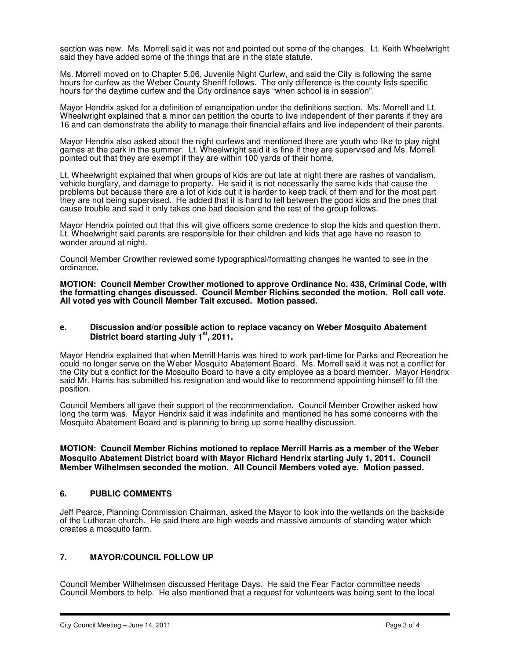section was new. Ms. Morrell said it was not and pointed out some of the changes. Lt. Keith Wheelwright said they have added some of the things that are in the state statute.

Ms. Morrell moved on to Chapter 5.06, Juvenile Night Curfew, and said the City is following the same hours for curfew as the Weber County Sheriff follows. The only difference is the county lists specific hours for the daytime curfew and the City ordinance says "when school is in session".

Mayor Hendrix asked for a definition of emancipation under the definitions section. Ms. Morrell and Lt. Wheelwright explained that a minor can petition the courts to live independent of their parents if they are 16 and can demonstrate the ability to manage their financial affairs and live independent of their parents.

Mayor Hendrix also asked about the night curfews and mentioned there are youth who like to play night games at the park in the summer. Lt. Wheelwright said it is fine if they are supervised and Ms. Morrell pointed out that they are exempt if they are within 100 yards of their home.

Lt. Wheelwright explained that when groups of kids are out late at night there are rashes of vandalism, vehicle burglary, and damage to property. He said it is not necessarily the same kids that cause the problems but because there are a lot of kids out it is harder to keep track of them and for the most part they are not being supervised. He added that it is hard to tell between the good kids and the ones that cause trouble and said it only takes one bad decision and the rest of the group follows.

Mayor Hendrix pointed out that this will give officers some credence to stop the kids and question them. Lt. Wheelwright said parents are responsible for their children and kids that age have no reason to wonder around at night.

Council Member Crowther reviewed some typographical/formatting changes he wanted to see in the ordinance.

**MOTION: Council Member Crowther motioned to approve Ordinance No. 438, Criminal Code, with the formatting changes discussed. Council Member Richins seconded the motion. Roll call vote. All voted yes with Council Member Tait excused. Motion passed.** 

#### **e. Discussion and/or possible action to replace vacancy on Weber Mosquito Abatement District board starting July 1st, 2011.**

Mayor Hendrix explained that when Merrill Harris was hired to work part-time for Parks and Recreation he could no longer serve on the Weber Mosquito Abatement Board. Ms. Morrell said it was not a conflict for the City but a conflict for the Mosquito Board to have a city employee as a board member. Mayor Hendrix said Mr. Harris has submitted his resignation and would like to recommend appointing himself to fill the position.

Council Members all gave their support of the recommendation. Council Member Crowther asked how long the term was. Mayor Hendrix said it was indefinite and mentioned he has some concerns with the Mosquito Abatement Board and is planning to bring up some healthy discussion.

#### **MOTION: Council Member Richins motioned to replace Merrill Harris as a member of the Weber Mosquito Abatement District board with Mayor Richard Hendrix starting July 1, 2011. Council Member Wilhelmsen seconded the motion. All Council Members voted aye. Motion passed.**

### **6. PUBLIC COMMENTS**

Jeff Pearce, Planning Commission Chairman, asked the Mayor to look into the wetlands on the backside of the Lutheran church. He said there are high weeds and massive amounts of standing water which creates a mosquito farm.

## **7. MAYOR/COUNCIL FOLLOW UP**

Council Member Wilhelmsen discussed Heritage Days. He said the Fear Factor committee needs Council Members to help. He also mentioned that a request for volunteers was being sent to the local